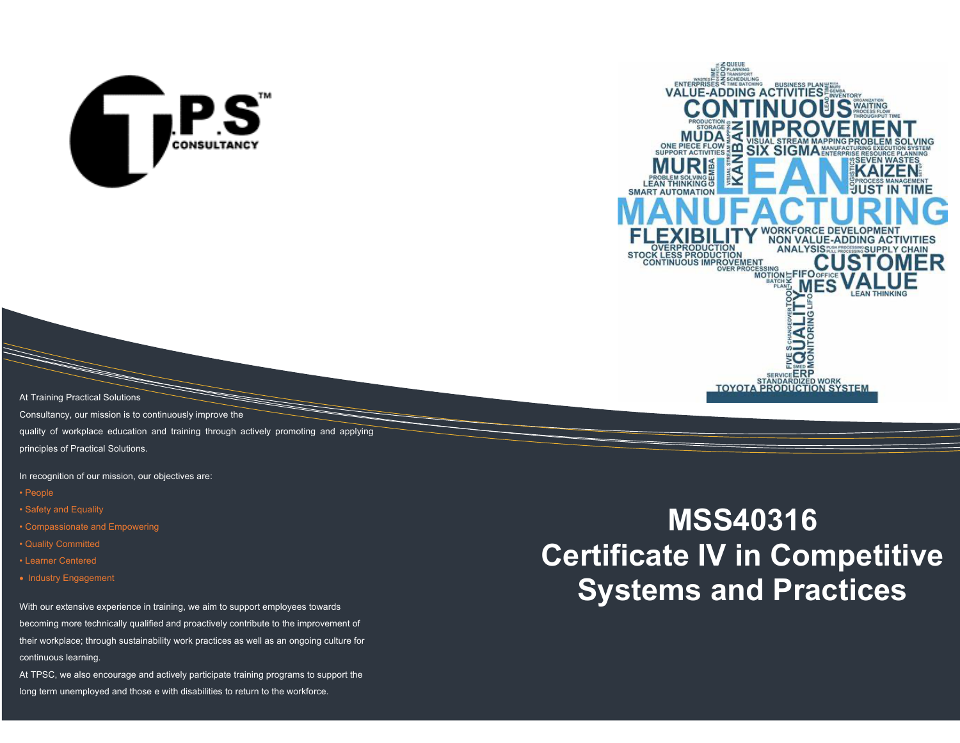



At Training Practical Solutions

Consultancy, our mission is to continuously improve the

quality of workplace education and training through actively promoting and applying

principles of Practical Solutions.

In recognition of our mission, our objectives are:

- People
- Safety and Equality
- Compassionate and Empowering
- Quality Committed
- Learner Centered
- Industry Engagement

With our extensive experience in training, we aim to support employees towards becoming more technically qualified and proactively contribute to the improvement of their workplace; through sustainability work practices as well as an ongoing culture for continuous learning.

At TPSC, we also encourage and actively participate training programs to support the long term unemployed and those e with disabilities to return to the workforce.

# **MSS40316 Certificate IV in Competitive Systems and Practices**